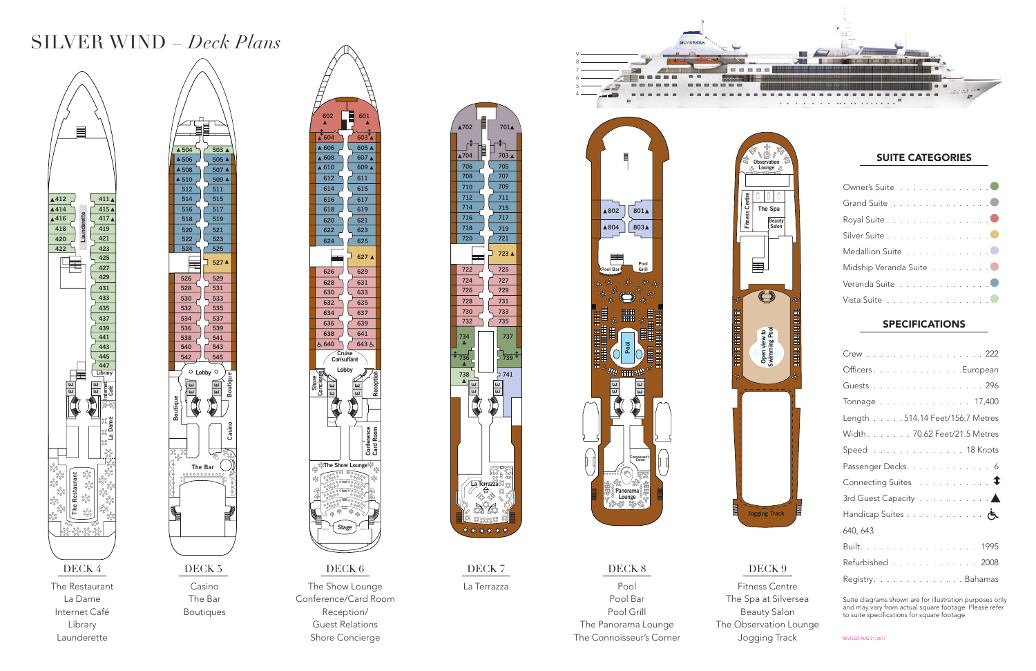The Restaurant La Dame Internet Café Library Launderette

Casino The Bar Boutiques

Conference/Card Room Reception/ Guest Relations Shore Concierge

La Terrazza

### DECK 8 DECK 9

Pool Pool Bar Pool Grill The Panorama Lounge The Connoisseur's Corner

Fitness Centre The Spa at Silversea Beauty Salon The Observation Lounge Jogging Track



### SUITE CATEGORIES



| Crew 222                                                |
|---------------------------------------------------------|
| Officers. European                                      |
| Guests 296                                              |
| Tonnage 17,400                                          |
| Length 514.14 Feet/156.7 Metres                         |
| Width. 70.62 Feet/21.5 Metres                           |
| Speed 18 Knots                                          |
| Passenger Decks. 6                                      |
| Connecting Suites $\ldots \ldots \ldots \ldots \bullet$ |
| 3rd Guest Capacity 4                                    |
| Handicap Suites 6                                       |
| 640, 643                                                |
| Built. 1995                                             |
| Refurbished 2008                                        |
| Registry. Bahamas                                       |

| Owner's Suite 0         |  |
|-------------------------|--|
| Grand Suite 0           |  |
| Royal Suite 0           |  |
| Silver Suite 0          |  |
| Medallion Suite 0       |  |
| Midship Veranda Suite 0 |  |
| Veranda Suite 0         |  |
| Vista Suite 0           |  |

### **SPECIFICATIONS**

**Card Room Re**

**ception**









**Fitness Centre**

Ë,

 $\mathbf{e}$ 



## SILVER WIND – *Deck Plans*

Suite diagrams shown are for illustration purposes only and may vary from actual square footage . Please refer to suite specifications for square footage .

REVISED AUG 21, 2017